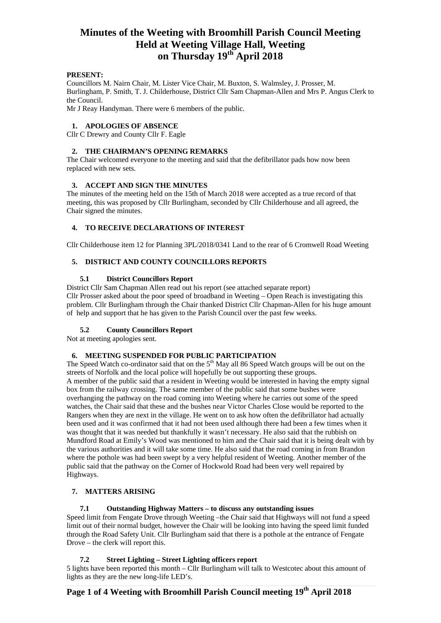#### **PRESENT:**

Councillors M. Nairn Chair, M. Lister Vice Chair, M. Buxton, S. Walmsley, J. Prosser, M. Burlingham, P. Smith, T. J. Childerhouse, District Cllr Sam Chapman-Allen and Mrs P. Angus Clerk to the Council.

Mr J Reay Handyman. There were 6 members of the public.

## **1. APOLOGIES OF ABSENCE**

Cllr C Drewry and County Cllr F. Eagle

## **2. THE CHAIRMAN'S OPENING REMARKS**

The Chair welcomed everyone to the meeting and said that the defibrillator pads how now been replaced with new sets.

### **3. ACCEPT AND SIGN THE MINUTES**

The minutes of the meeting held on the 15th of March 2018 were accepted as a true record of that meeting, this was proposed by Cllr Burlingham, seconded by Cllr Childerhouse and all agreed, the Chair signed the minutes.

# **4. TO RECEIVE DECLARATIONS OF INTEREST**

Cllr Childerhouse item 12 for Planning 3PL/2018/0341 Land to the rear of 6 Cromwell Road Weeting

# **5. DISTRICT AND COUNTY COUNCILLORS REPORTS**

### **5.1 District Councillors Report**

District Cllr Sam Chapman Allen read out his report (see attached separate report) Cllr Prosser asked about the poor speed of broadband in Weeting – Open Reach is investigating this problem. Cllr Burlingham through the Chair thanked District Cllr Chapman-Allen for his huge amount of help and support that he has given to the Parish Council over the past few weeks.

# **5.2 County Councillors Report**

Not at meeting apologies sent.

# **6. MEETING SUSPENDED FOR PUBLIC PARTICIPATION**

The Speed Watch co-ordinator said that on the  $5<sup>th</sup>$  May all 86 Speed Watch groups will be out on the streets of Norfolk and the local police will hopefully be out supporting these groups. A member of the public said that a resident in Weeting would be interested in having the empty signal box from the railway crossing. The same member of the public said that some bushes were overhanging the pathway on the road coming into Weeting where he carries out some of the speed watches, the Chair said that these and the bushes near Victor Charles Close would be reported to the Rangers when they are next in the village. He went on to ask how often the defibrillator had actually been used and it was confirmed that it had not been used although there had been a few times when it was thought that it was needed but thankfully it wasn't necessary. He also said that the rubbish on Mundford Road at Emily's Wood was mentioned to him and the Chair said that it is being dealt with by the various authorities and it will take some time. He also said that the road coming in from Brandon where the pothole was had been swept by a very helpful resident of Weeting. Another member of the public said that the pathway on the Corner of Hockwold Road had been very well repaired by Highways.

# **7. MATTERS ARISING**

# **7.1 Outstanding Highway Matters – to discuss any outstanding issues**

Speed limit from Fengate Drove through Weeting –the Chair said that Highways will not fund a speed limit out of their normal budget, however the Chair will be looking into having the speed limit funded through the Road Safety Unit. Cllr Burlingham said that there is a pothole at the entrance of Fengate Drove – the clerk will report this.

# **7.2 Street Lighting – Street Lighting officers report**

5 lights have been reported this month – Cllr Burlingham will talk to Westcotec about this amount of lights as they are the new long-life LED's.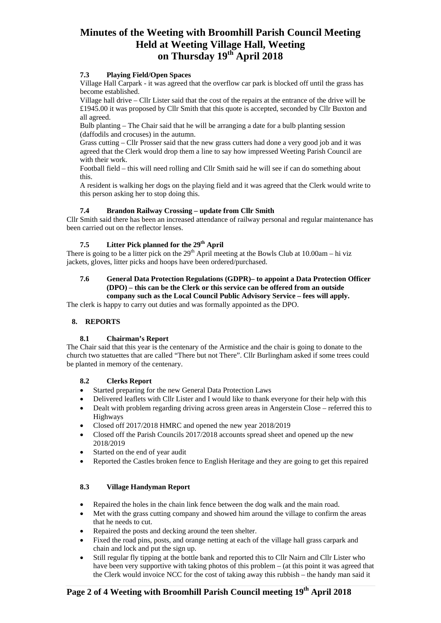### **7.3 Playing Field/Open Spaces**

Village Hall Carpark - it was agreed that the overflow car park is blocked off until the grass has become established.

Village hall drive – Cllr Lister said that the cost of the repairs at the entrance of the drive will be £1945.00 it was proposed by Cllr Smith that this quote is accepted, seconded by Cllr Buxton and all agreed.

Bulb planting – The Chair said that he will be arranging a date for a bulb planting session (daffodils and crocuses) in the autumn.

Grass cutting – Cllr Prosser said that the new grass cutters had done a very good job and it was agreed that the Clerk would drop them a line to say how impressed Weeting Parish Council are with their work.

Football field – this will need rolling and Cllr Smith said he will see if can do something about this.

A resident is walking her dogs on the playing field and it was agreed that the Clerk would write to this person asking her to stop doing this.

# **7.4 Brandon Railway Crossing – update from Cllr Smith**

Cllr Smith said there has been an increased attendance of railway personal and regular maintenance has been carried out on the reflector lenses.

# **7.5 Litter Pick planned for the 29th April**

There is going to be a litter pick on the  $29<sup>th</sup>$  April meeting at the Bowls Club at  $10.00$ am – hi viz jackets, gloves, litter picks and hoops have been ordered/purchased.

#### **7.6 General Data Protection Regulations (GDPR)– to appoint a Data Protection Officer (DPO) – this can be the Clerk or this service can be offered from an outside company such as the Local Council Public Advisory Service – fees will apply.**

The clerk is happy to carry out duties and was formally appointed as the DPO.

# **8. REPORTS**

#### **8.1 Chairman's Report**

The Chair said that this year is the centenary of the Armistice and the chair is going to donate to the church two statuettes that are called "There but not There". Cllr Burlingham asked if some trees could be planted in memory of the centenary.

### **8.2 Clerks Report**

- Started preparing for the new General Data Protection Laws
- Delivered leaflets with Cllr Lister and I would like to thank everyone for their help with this
- Dealt with problem regarding driving across green areas in Angerstein Close referred this to Highways
- Closed off 2017/2018 HMRC and opened the new year 2018/2019
- Closed off the Parish Councils 2017/2018 accounts spread sheet and opened up the new 2018/2019
- Started on the end of year audit
- Reported the Castles broken fence to English Heritage and they are going to get this repaired

#### **8.3 Village Handyman Report**

- Repaired the holes in the chain link fence between the dog walk and the main road.
- Met with the grass cutting company and showed him around the village to confirm the areas that he needs to cut.
- Repaired the posts and decking around the teen shelter.
- Fixed the road pins, posts, and orange netting at each of the village hall grass carpark and chain and lock and put the sign up.
- Still regular fly tipping at the bottle bank and reported this to Cllr Nairn and Cllr Lister who have been very supportive with taking photos of this problem – (at this point it was agreed that the Clerk would invoice NCC for the cost of taking away this rubbish – the handy man said it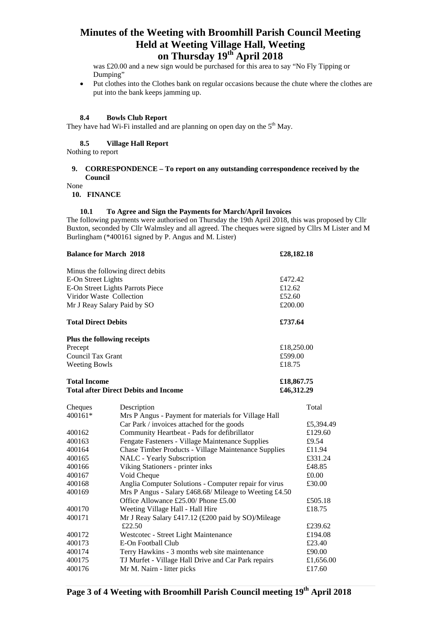was £20.00 and a new sign would be purchased for this area to say "No Fly Tipping or Dumping"

 Put clothes into the Clothes bank on regular occasions because the chute where the clothes are put into the bank keeps jamming up.

#### **8.4 Bowls Club Report**

They have had Wi-Fi installed and are planning on open day on the  $5<sup>th</sup>$  May.

#### **8.5 Village Hall Report**

Nothing to report

#### **9. CORRESPONDENCE – To report on any outstanding correspondence received by the Council**

None

#### **10. FINANCE**

#### **10.1 To Agree and Sign the Payments for March/April Invoices**

The following payments were authorised on Thursday the 19th April 2018, this was proposed by Cllr Buxton, seconded by Cllr Walmsley and all agreed. The cheques were signed by Cllrs M Lister and M Burlingham (\*400161 signed by P. Angus and M. Lister)

| <b>Balance for March 2018</b>    |                                                                 |            | £28,182.18 |  |
|----------------------------------|-----------------------------------------------------------------|------------|------------|--|
|                                  | Minus the following direct debits                               |            |            |  |
| E-On Street Lights               |                                                                 | £472.42    |            |  |
| E-On Street Lights Parrots Piece |                                                                 | £12.62     |            |  |
| Viridor Waste Collection         |                                                                 | £52.60     |            |  |
|                                  | Mr J Reay Salary Paid by SO                                     | £200.00    |            |  |
| <b>Total Direct Debits</b>       |                                                                 |            | £737.64    |  |
|                                  | Plus the following receipts                                     |            |            |  |
| Precept                          |                                                                 |            | £18,250.00 |  |
| Council Tax Grant                |                                                                 |            | £599.00    |  |
| <b>Weeting Bowls</b>             |                                                                 | £18.75     |            |  |
| <b>Total Income</b>              |                                                                 | £18,867.75 |            |  |
|                                  | <b>Total after Direct Debits and Income</b>                     | £46,312.29 |            |  |
| Cheques                          | Description                                                     |            | Total      |  |
| 400161*                          | Mrs P Angus - Payment for materials for Village Hall            |            |            |  |
|                                  | Car Park / invoices attached for the goods                      |            | £5,394.49  |  |
| 400162                           | Community Heartbeat - Pads for defibrillator                    |            | £129.60    |  |
| 400163                           | Fengate Fasteners - Village Maintenance Supplies                |            | £9.54      |  |
| 400164                           | <b>Chase Timber Products - Village Maintenance Supplies</b>     |            | £11.94     |  |
| 400165                           | NALC - Yearly Subscription                                      |            | £331.24    |  |
| 400166                           | Viking Stationers - printer inks                                |            | £48.85     |  |
| 400167                           | Void Cheque                                                     |            | £0.00      |  |
| 400168                           | Anglia Computer Solutions - Computer repair for virus<br>£30.00 |            |            |  |
| 400169                           | Mrs P Angus - Salary £468.68/ Mileage to Weeting £4.50          |            |            |  |
|                                  | Office Allowance £25.00/ Phone £5.00                            |            | £505.18    |  |
| 400170                           | Weeting Village Hall - Hall Hire                                |            | £18.75     |  |
| 400171                           | Mr J Reay Salary £417.12 (£200 paid by SO)/Mileage              |            |            |  |
|                                  | £22.50                                                          |            | £239.62    |  |
| 400172                           | Westcotec - Street Light Maintenance                            |            | £194.08    |  |
| 400173                           | E-On Football Club                                              |            | £23.40     |  |
| 400174                           | Terry Hawkins - 3 months web site maintenance<br>£90.00         |            |            |  |
| 400175                           | TJ Murfet - Village Hall Drive and Car Park repairs             |            | £1,656.00  |  |
| 400176                           | Mr M. Nairn - litter picks                                      |            | £17.60     |  |